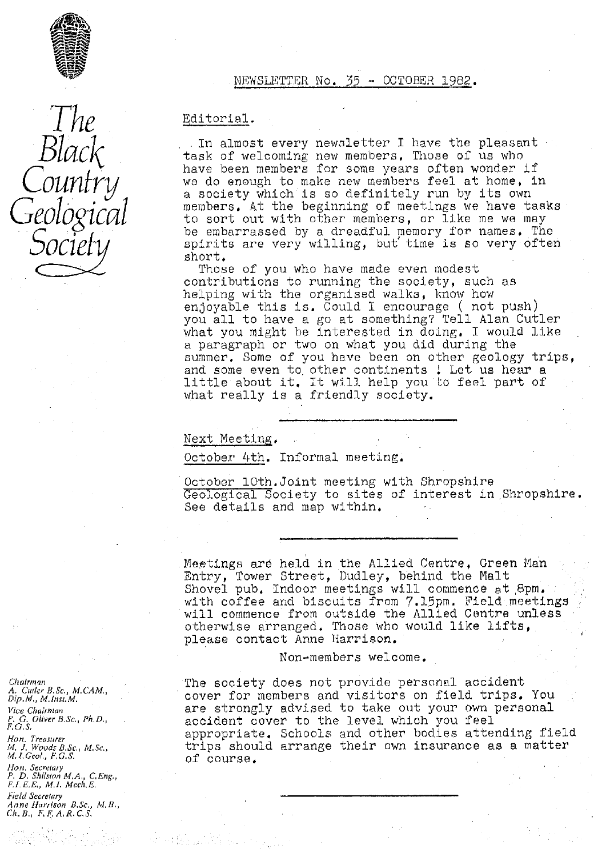

# NEWSLETTER No. 35 -- OCTOBER 1982 .

*The Black Counfry Geological*  $O$ 

Editorial.

In almost every new3letter I have the pleasant task of welcoming new members. Those of us who have been members for some years often wonder if we do enough to make new members feel at home, in *a society which is so* definitely run *by* its own members. At the beginning of meetings we have tasks *to sort out with other members, or like me we may* be embarrassed by a dreadful memory for names, The spirits are very willing, but time is so very often short.

Those of you who have made even modest contributions to running the society, such as helping with the organised walks, know how enjoyable this is. Could I encourage ( not push) you all to have a go at something? Tell Alan Cutler *what you might be* interested in doing. I would like a paragraph or two on what you did during the summer. Some of you have been on other geology trips, and some even to other continents ! Let us hear a little about it. It will help you to feel part of what really is a friendly society.

Next Meeting .

October 4th. Informal meeting.

October 10th.Joint meeting with Shropshire Geological Society to sites of interest in Shropshire. See details and map within.

Meetings arb held in the Allied Centre, Green Man Entry, Tower Street, Dudley, behind the Malt Shovel pub, Indoor meetings will commence et,8pm. with coffee and biscuits from 7.15pm. Field meetings will commence from outside the Allied Centre unless otherwise arranged. Those who would like lifts, please contact Anne Harrison.

Non-members welcome.

The society does not provide personal accident cover for members and visitors on field trips. You are strongly advised to take out your own personal accident cover to the level which you feel appropriate. Schools and other bodies attending, field trips should arrange their own insurance as a matter of course,

*Chim:Qn A. Curler B.Sc,, M. CAM,, Dip. M. M. Inst. M. Vice Chairman P. G. Oliver I3, Sc, , Ph. D., r•. c. s,*

*Hon. Treasurer M, J, Woods B,Sc., M,Sc.,*<br>*M.I.Geol., F,G.S.* 

*Hon. Secretary*<br>P. D. Shilston M.A., C.Eng. *F.I.E,E., M.I. Mech,E, Field Secretary*

*Anne Harrison 13.Sc., M. B. Ch. B. F, F. A, R. C. S,*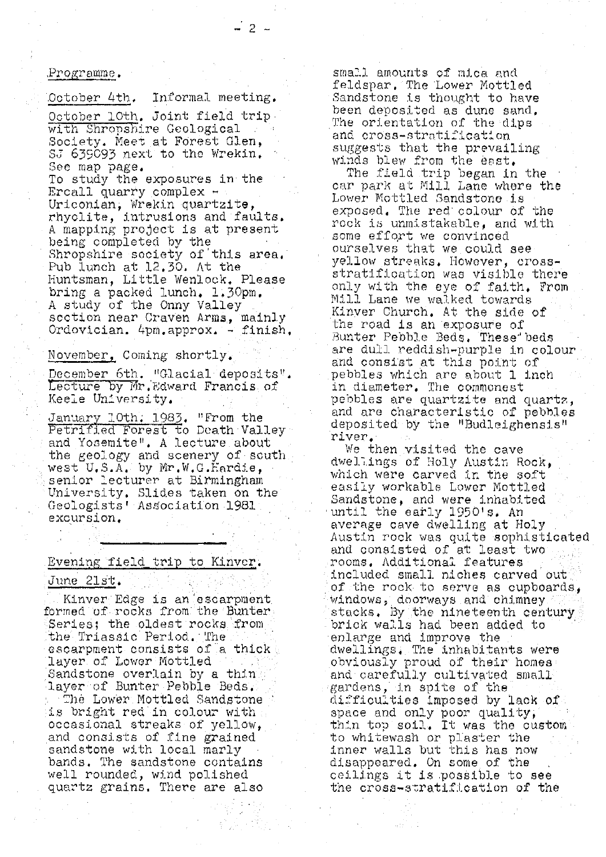#### Programr e .

October 4th. Informal meeting.

October 10th. Joint field trip. with Shropshire Geological Society. Meet at Forest Glen, SJ 635093 next to the Wrekin. See map page.

To study the exposures in the Ercall quarry complex  $-$ Uriconian, Wrekin quartzite, rhyolite, intrusions and faults. A mapping project is at present being completed by the Shropshire society of this area. Pub lunch at **12,30.** At the Huntsman, Little Wenlock. Please bring a packed lunch. 1.30pm. A study of the Onny Valley soction near Craven Anna, mainly Ordovician. 4pm.approx , finish,

November, Coming shortly.

December 6th. "Glacial deposits". Lecture by Mr. Edward Francis of Keele University,

January loth: 1983, "From the Petrified Forest to Death Valley and Yosemite". A lecture about the geology and scenery of south west U.S.A. by Mr.W.G.Hardie, senior lecturer at Birmingham University. Slides taken on the Geologists' Association 1981 excursion,

#### Evening field trip to Kinycr .

### June 21st.

. Kinver Edge is an 'escarpmen<sup>t</sup>. formed of rocks from the Bunter Series; the oldest rocks from the Triassic Period. The escarpment consists of a thick layer of Lower Mottled Sandstone overlain by a thin layer of Bunter Pebble Beds, The Lower Mottled Sandstone is bright red in colour with occasional streaks of yellow, and consists of fine grained sandstone with local marly bands. The sandstone contains well rounded, wind polished quartz grains. There are also

small amounts of mica and feldspar. The Lower Mottled Sandstone is thought to have been deposited as dune sand. The orientation of the dips and cross-strati icat;on suggests that the prevailing winds blew from the east.

The field trip began in the car park at Mill. Lane where the Lower Mottled Sandstone is exposed. The red colour of the rock is unmistakable, and with some effqrt we convinced ourselves that we could see *yellow* streaks. However, crossstratification was visible there only with the eye of faith, From. Mill Lane we walked. towards Kinver Church, At the side of the road is an exposure of Bunter Pebble Beds. These beds are dull reddish-purple in colour and consist at this point of pebbles which are about 1 inch in diameter, The commonest pebbles are quartzite and quartz, and are characteristic of pebbles deposited by the "Budleighensis" river.

We then visited the cave dwellings of Holy Austin Rock, which were carved in the soft easily workable Lower Mottled Sandstone, and were inhabited until the early 1950's, An average cave dwelling at Holy Austin rock was quite sophisticated and consisted of at least two rooms. Additional features included small niches carved cut <sup>o</sup>f the rock to serve as cupboards, windows,, doorways and chimney stacks. By the nineteenth century. brick walls had been added to enlarge and improve the dwellings,. The inhabitants were obviously proud of their homes and carefully cultivated small gardens, in spite of the difficulties imposed by lack of space and only poor quality thin top soil. It was the custom to whitewash or plaster the inner walls but this has now disappeared. On some of the ceilings it is possible to see the cross-stratification of the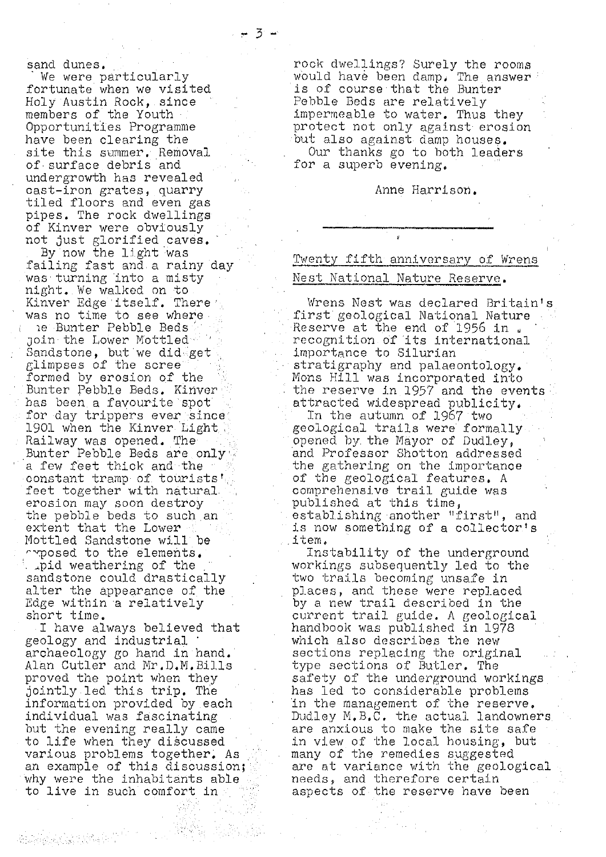sand dunes.

We were particularly fortunate when we visited Holy Austin Rock, since members of the Youth Opportunities Programme have been clearing the site this summer. Removal of surface debris and undergrowth has revealed cast-iron grates, quarry tiled floors and even gas pipes. The rock dwellings of Kinver were obviously not just glorified caves.

By now the light was failing fast and.a rainy day was turning into a misty night. We walked on to Kinver Edge itself. There' was no time to see where

ie Bunter Pebble Beds join the Lower Mottled Sandstone, but we dideget glimpses of the scree formed by erosion of the Bunter Pebble Beds. Kinver. has been a favourite spot for day trippers ever since 1901 when the Kinver Light Railway was opened. The Bunter Pebble Beds are only a few feet thick and the constant tramp of tourists' feet together with natural, erosion may soon destroy the pebble beds to such an extent that the Lower Mottled Sandstone will be  $\cap$  posed to the elements. . apid weathering of the sandstone could drastically alter the appearance of the Edge within a relatively short time.

I have always believed that geology and industrial archaeology go hand in hand.' *Alan* Cutler and Mr.D.M.Bills proved the point when they jointly led. this trip. The information provided by each individual was fascinating but the evening really came to life when they discussed various problems together. As an example of this discussion; why were the inhabitants able to live in such comfort in

rock dwellings? Surely the rooms would have been damp. The answer is of course that the Bunter' Pebble Beds are relatively impermeable to water. Thus they protect not only against erosion but also against damp houses. Our thanks go to both leaders for a superb evening.

#### Anne Harrison.

# Twenty fifth anniversary of Wrens Nest National. Nature Reserve.

Wrens Nest was declared Britain's first geological National Nature Reserve at the end of 1956 in , recognition of its international importance to Silurian stratigraphy and palaeontology, Mons Hill was incorporated into the reserve in 1957 *and the* events attracted widespread publicity.

In the autumn of 1967 two geological trails were formally. opened by the Mayor of Dudley, and Professor Shotton addressed the gathering on the importance of the geological features. A comprehensive trail guide was published at this time, establishing another "first", and is now something of a collector's item.

Instability of the underground workings subsequently led to the two trails becoming unsafe in places, and these were replaced by a new trail described in the current trail guide. A geological handbook was published in 1978 which also describes the new sections replacing the original type sections of Butler. The safety of the underground workings. has led to considerable problems 'in the management of the reserve. Dudley N.B.C. the actual landowners. are anxious to make the site safe in view of the local housing, but many of the remedies suggested are at variance with the geological needs, and therefore certain aspects of the reserve have been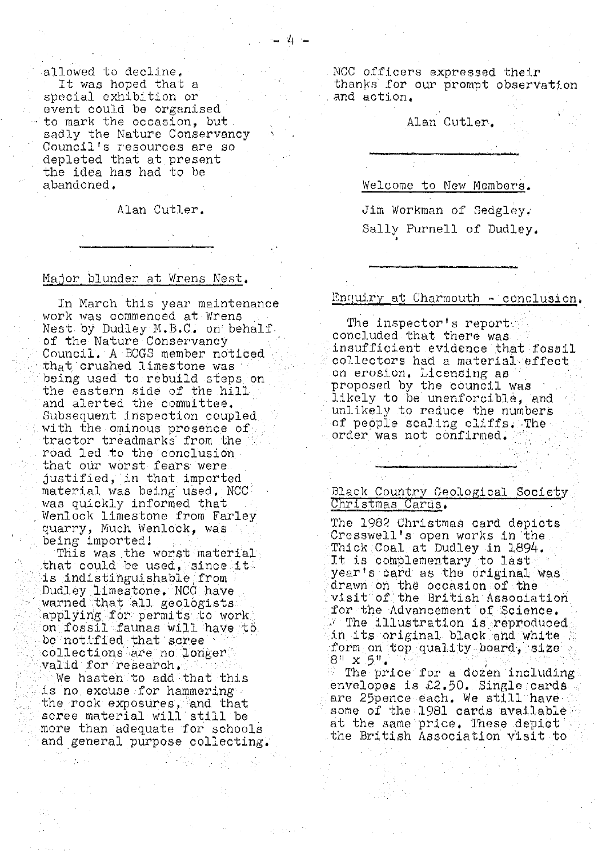allowed to decline. It was hoped that a special exhibition or event could be organised to mark the occasion, but. sadly the Nature Conservancy Council's resources are so depleted that at present the idea has had to be abandoned.

Alan Cutler.

 $4.1$ 

#### Msior blunder at Wrens Nest.

In March this year maintenance work was commenced at Wrens Nest by Dudley M.B.C. on behalf of the Nature Conservancy Council. A BCGS member noticed that crushed limestone was being used to. rebuild steps on the eastern side of the hill and alerted th<sup>e</sup> committee. Subsequent inspection coupled with the ominous presence of tractor treadmarks'from the road led to the conclusion that our worst fears were. justified, in that imported • material was being used. NCC was quickly informed that Wenlock limestone from Farley quarry, Much Wenlock, was being imported!

This was the worst material that could be used, since it is indistinguishable .from Dudley limestone. NCC have warned that all geologists applying for permits to work. on fossil faunas will have to bo notified that scree collections are no longer, valid for research. We hasten to add that this is no excuse for hammering the rock exposures, and that scree material will still be more than adequate for schools and general purpose collecting.'

<sup>N</sup>CC officers expressed their thanks for our prompt observation and action,

## Alan Cutler.

Welcome to New Membors.

Jim Workman of Sedgley, Sally Purnell of Dudley,

#### Enquiry at Charmouth  $\sim$  conclusion.

The inspector's report concluded that there was insufficient evidence that fossil collectors had a material effect. on erosion. Licensing as proposed by the council was likely to be unenforcible, and unlikely to reduce the numbers of people scaling cliffs. The .order was not confirmed.

## Black Country Geological Society Christmas Cards.

The 1982 Christmas card depicts Cresswell.'s open works in the Thick Coal at Dudley in 1894. It is complementary to last year's oard as the original was. drawn on the occasion of the visit of the British Association for the Advancement of Science.  $\mathbb{Z}$  The illustration is reproduced in its original black and white form on top. quality board, size  $8^{n}$   $\times$  5<sup>t</sup>

The price for a dozen including envelopes is £2.50. Single cards are 25pence each. We still have some of the 1981 cards available at the same price. These depict the British Association visit to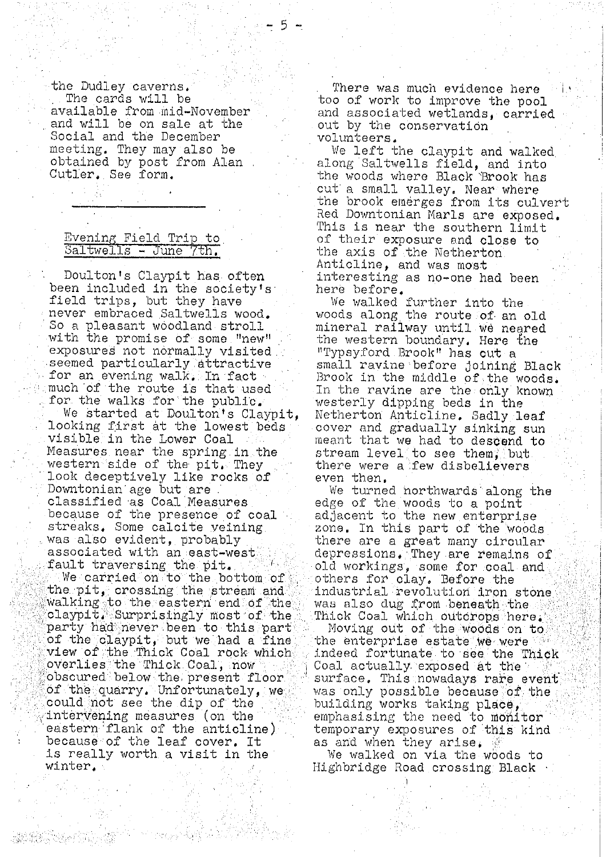the Dudley caverns. There was much evidence here<br>The cards will be the too of work to improve the noo Social and the December<br>meeting. They may also be

Doulton's Claypit has often interesting as no-one had been<br>en included in the society's here before. been included in the society's<br>field trips, but they have field trips, but they have We walked further into the never embraced Saltwells wood. We woods along the route of an never embraced Saltwells wood. woods along the route of an old<br>So a pleasant woodland stroll mineral railway until we neared with the promise of some "new" . the western boundary. Here exposures not normally visited . "Typsyford Brook" has out a for an evening walk. In fact and Brook in the middle of the woods.<br>much of the route is that used a limithe ravine are the only known much of the route is that used In the ravine are the only known<br>for the walks for the public. Westerly dipping beds in the r the walks for the public. westerly dipping beds in the westerly dipping beds in the We started at Doulton's Claypit. Netherton Anticline. Sadly l We started at Doulton's Claypit, Netherton Anticline. Sadly leaf<br>looking first at the lowest beds over and gradually sinking sun looking first at the lowest beds cover and gradually sinking sun visible in the Lower Coal and meant that we had to descend to Measures near the spring in the stream level to see them, but<br>western side of the pit. They there were a few disbelievers western side of the pit. They  $\cdots$  there were look deceptively like rocks of  $\cdots$  even then. look deceptively like rocks of<br>Downtonian age but are Downtonian age but are we turned northwards along the classified as Coal Measures edge of the woods to a point classified as Coal Measures edge of the woods to a point<br>because of the presence of coal adjacent to the new enterpri because of the presence of coal • : adjacent to the new enterprise<br>streaks. Some calcite veining \* \* zone. In this part of the wood streaks. Some calcite veining enterprise in this part of the woods was also evident. probably was also evident, probably . there are a great many circular associated with an east-west . depressions. They are remains o fault traversing the pit. ( ) old workings, some for coal and We carried on to the bottom of others for clay. Before the we carried on to the bottom of a others for clay. Before the<br>the pit, crossing the stream and a industrial revolution iron stone<br>walking to the eastern end of the a was also dug from beneath the walking to the eastern end of the was also dug from beneath the  $\sim$  claypit. Surprisingly most of the Thick Coal which outcrops here. claypit, Surprisingly most of the :. Thick Coal which outorops here.<br>party had never been to this part :: Moving out of the woods on to party had never been to this part Moving out of the woods on to of the claypit, but we had a fine . the enterprise estate we were of the claypit, but we had a fine , the enterprise estate we were . .<br>view of the Thick Coal rock which , indeed fortunate to see the Thick<br>overlies the Thick Coal, now . . . Coal actually exposed at the overlies the Thick Coal, now Coal actually exposed at the<br>obscured below the present floor Courtace. This nowadays rare a could not see the dip of the  $\frac{1}{2}$  building works taking place, intervening measures (on the emphasising the need to monitor<br>eastern flank of the anticline) bemporary exposures of this kind because of the leaf cover. It<br>is really worth a visit in the is really worth a visit in the '' We walked on via the woods to vinter.

 $\begin{array}{l} \text{The cards will be} \ \text{too of work to improve the pool} \ \text{available from mid-Wovember} \end{array}$ available from mid-November and associated wetlands, carried<br>and will be on sale at the sout by the conservation out by the conservation<br>volunteers.

meeting. They may also be . . We left the claypit and walked obtained by post from Alan along Saltwells field, and into Cutler. See form. the woods where Black Brook has cut a small valley. Near where the brook emerges from its culvert Red Downtonian Marls are exposed. This is near the southern limit Evening Field Trip to  $\overline{S}$  of their exposure and close to  $\overline{S}$ altwells - June  $\overline{7}$ th.  $\overline{S}$  the axis of the Netherton the axis of the Netherton. Anticline, and was most

mineral railway until we neared<br>the western boundary. Here the seemed particularly attractive "Small ravine before joining Black" for an evening walk, In fact

depressions. They are remains of<br>old workings, some for coal and

surface. This nowadays rare event<br>was only possible because of the of the quarry. Unfortunately, we was only possible because of the  $\frac{1}{2}$ . temporary exposures of this kind<br>as and when they arise.

Highbridge Road crossing Black

ite Mille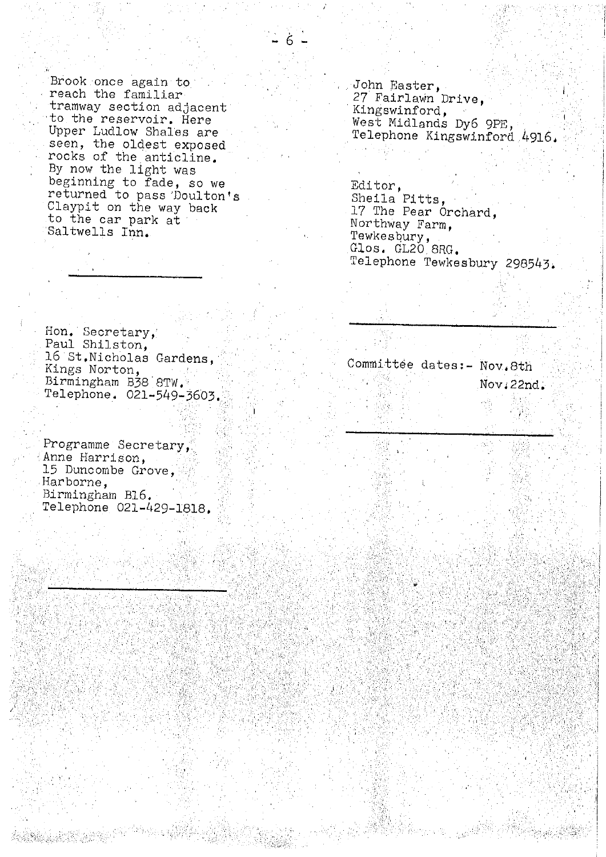example once again to the second of the familiar of the second of the second second second second second second second second second second second second second second second second second second second second second secon tramway section adjacent<br>to the reservoir. Here Upper Ludlow Shales are . Telephone Kingswinford 4916. rocks of the anticline. By now the light was beginning to fade, so we entitled and the Editor, returned to pass 'Doulton's Sheila Pitts, Claypit on the way back Claypit on the way back and the Pear Orchard,<br>
to the car park at the Northway Farm,<br>
Saltwells Inn.

 $\hat{\sigma}$  and  $\hat{\sigma}$ 

27 Fairlawn Drive,<br>Kingswinford, West Midlands Dy6 9PE,<br>Telephone Kingswinford 4916.

Tewkesbury, Glos. GL20, BRG. Telephone Tewkesbury 298543.

Hon, Secretary,' Paul Shilston, 16 St.Nicholas Gardens, Telephone. 021-549-3603..

Programme Secretary, Anne Harrison, 15 Duncombe Grove, Harborne, Birmingham BIG, Telephone 021-429-1818.

Xiring (

Committee dates:- Nov.8th Birmingham B38  $8TW.$  (1)  $\frac{1}{2}$  and  $\frac{1}{2}$  and  $\frac{1}{2}$   $\frac{1}{2}$  and  $\frac{1}{2}$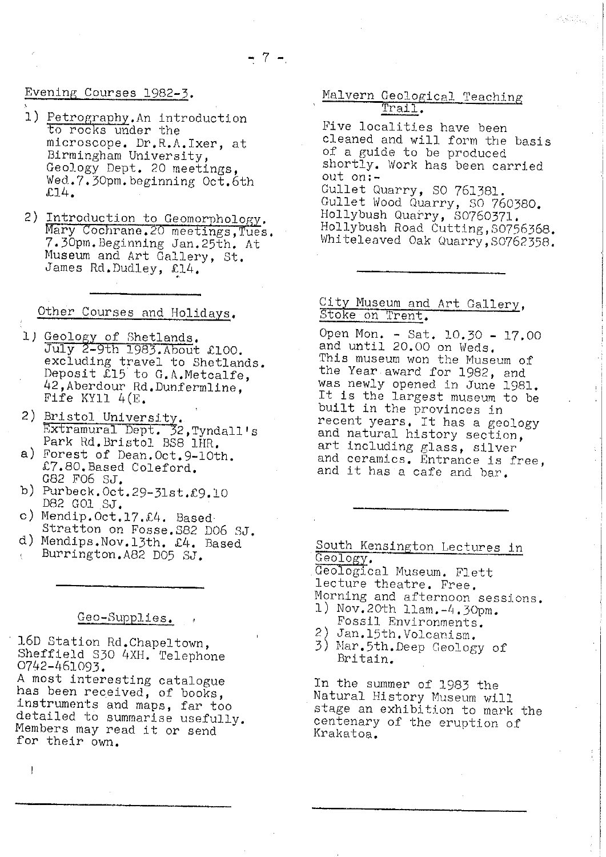## Evening Courses 1982-3 ,

- 1) Petrography. An introduction to rocks under the *microscope. Dr.R,A.Ixer, at* Birmingham University, Geology Dept. 20 meetings, Wed.7.30pm.beginning Oct.6th £14.
- 2) Introduction to Geomorpholo Mary Cochrane. 20 meetings, Tues. 7.30pm.Beginning Jan.25th, At Museum and Art Gallery, St. James Rd.Dudley, £14.

# Other Courses and Holidays.

- 1) Geology of Shetlands. July 2-9th 1983. About £100. excluding travel to Shetlands. Deposit £15 to G.A.Metcalfe, 42,Aberdour Rd. Dunfermline, Fife KY11 4(E.
- 2) <u>Bristol Universit</u> Extramural Dept. 32,Tyndall's Park Rd. Bristol BS8 1HR.
- *a) Forest of Dean.Oct.9-10th.* £7.80.Based Coleford. G82 F06 *Si.*
- b) Purbeck. Oct. 29-31st. £9.10 D82 GUi SJ.
- c) Mendip.Oct.17. $\pounds4$ . Based
- Stratton on Fosse.S82 1)06 SJ, d) <sup>M</sup> endlps.Nov.l3th. £4. Based Burrington.A82 D05 SJ.

## Geo-Supplies.

16D Station Rd.Chapeltown, *Sheffield 830 4XH.* Telephone 0742-461093.

A most interesting catalogue has been received, of books, instruments and maps, far too detailed to summarise usefully. Members may read it or send for their own.

# Malvern Geological Teaching Trail.

Five localities have been cleaned and will form the basis of a guide to be produced shortly. Work has been *carried* out on:- Gullet Quarry, SO 761381. Gullet Wood Quarry, 30 760380. Hollybush Quarry, S0760371. Hollybush Road Cutting,S0756368. Whiteleaved Oak Quarry, 50762338.

## City Museum and Art Gallery, Stoke on Trent.

Open Mon. - Sat. 10.30 - 17.00 and until 20.00 on Weds. This museum won the Museum of the Year award for 1982, and was newly opened in June 1981. It is the largest museum to be built in the provinces in recent years. It has a geology and natural history section, art including glass, silver and ceramics. Entrance is free, and it has a cafe and bar.

South Kensington Lectures in Geology,

Geological Museum. Flett lecture theatre. Free. Morning and afternoon sessions.

- 1) Nov. 20th 11am. -4. 30pm. Fossil Environments.
- 2) Jan.15th.Volcanism.
- 3) Nar.5th.Deep Geology of Britain.

In the summer of 1983 the Natural History Museum will stage an exhibition to mark the centenary of the eruption of Krakatoa.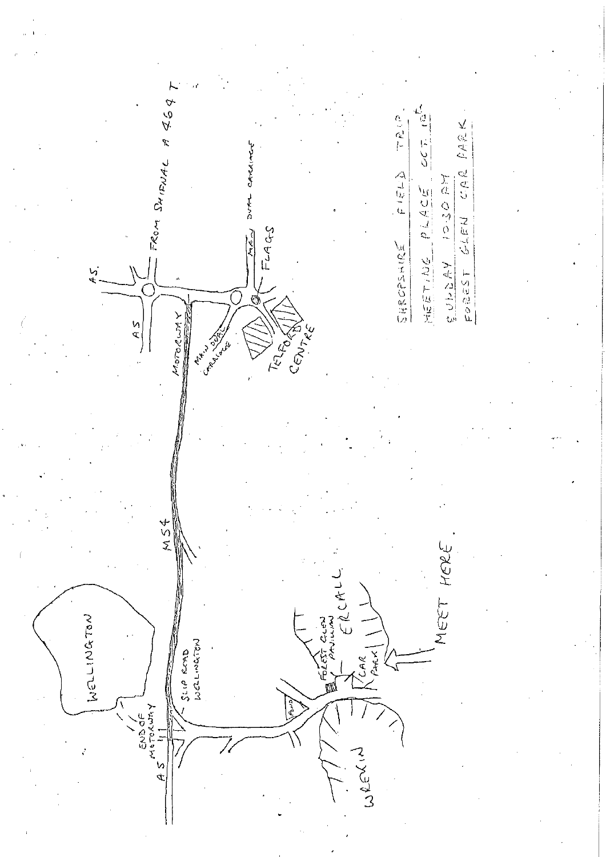